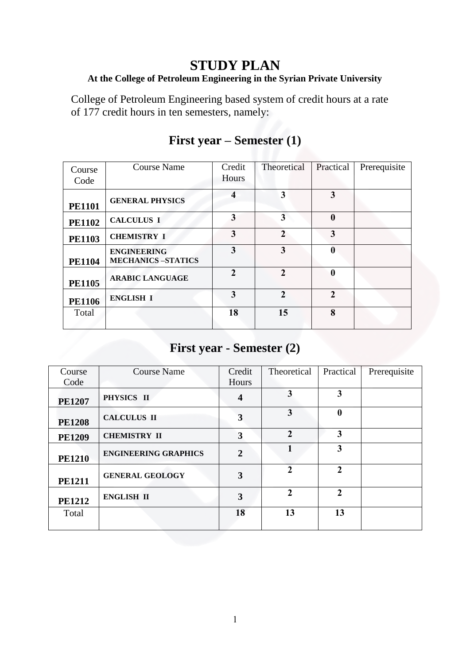### **STUDY PLAN**

#### **At the College of Petroleum Engineering in the Syrian Private University**

College of Petroleum Engineering based system of credit hours at a rate of 177 credit hours in ten semesters, namely:

| Course<br>Code | <b>Course Name</b>                             | Credit<br>Hours | Theoretical    | Practical        | Prerequisite |
|----------------|------------------------------------------------|-----------------|----------------|------------------|--------------|
| <b>PE1101</b>  | <b>GENERAL PHYSICS</b>                         | 4               | 3              | 3                |              |
| <b>PE1102</b>  | <b>CALCULUS I</b>                              | 3               | 3              | $\boldsymbol{0}$ |              |
| <b>PE1103</b>  | <b>CHEMISTRY I</b>                             | 3               | $\mathbf{2}$   | 3                |              |
| <b>PE1104</b>  | <b>ENGINEERING</b><br><b>MECHANICS-STATICS</b> | 3               | 3              | $\mathbf{0}$     |              |
| <b>PE1105</b>  | <b>ARABIC LANGUAGE</b>                         | 2               | $\overline{2}$ | $\mathbf{0}$     |              |
| <b>PE1106</b>  | <b>ENGLISH I</b>                               | 3               | $\mathbf{2}$   | $\mathbf{2}$     |              |
| Total          |                                                | 18              | 15             | 8                |              |

#### **First year – Semester (1)**

#### **First year - Semester (2)**

| Course        | <b>Course Name</b>          | Credit         | Theoretical    | Practical               | Prerequisite |
|---------------|-----------------------------|----------------|----------------|-------------------------|--------------|
| Code          |                             | Hours          |                |                         |              |
| <b>PE1207</b> | PHYSICS II                  | 4              | 3              | 3                       |              |
| <b>PE1208</b> | <b>CALCULUS II</b>          | 3              | 3              | $\boldsymbol{0}$        |              |
| <b>PE1209</b> | <b>CHEMISTRY II</b>         | 3              | $\overline{2}$ | $\overline{\mathbf{3}}$ |              |
| <b>PE1210</b> | <b>ENGINEERING GRAPHICS</b> | $\overline{2}$ |                | $\overline{\mathbf{3}}$ |              |
| <b>PE1211</b> | <b>GENERAL GEOLOGY</b>      | 3              | $\overline{2}$ | $\mathbf{2}$            |              |
| <b>PE1212</b> | <b>ENGLISH II</b>           | 3              | $\mathbf{2}$   | $\mathcal{L}$           |              |
| Total         |                             | 18             | 13             | 13                      |              |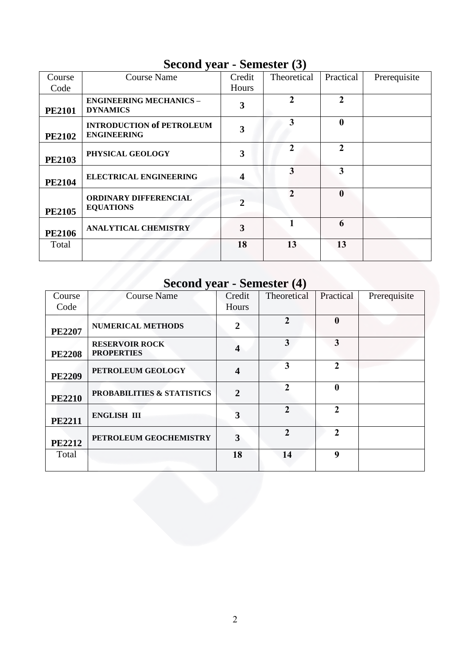#### **Second year - Semester (3)**

| Course        | <b>Course Name</b>                                     | Credit           | Theoretical    | Practical      | Prerequisite |
|---------------|--------------------------------------------------------|------------------|----------------|----------------|--------------|
| Code          |                                                        | Hours            |                |                |              |
| <b>PE2101</b> | <b>ENGINEERING MECHANICS -</b><br><b>DYNAMICS</b>      | 3                | $\overline{2}$ | $\overline{2}$ |              |
| <b>PE2102</b> | <b>INTRODUCTION of PETROLEUM</b><br><b>ENGINEERING</b> | 3                | 3              | $\mathbf{0}$   |              |
| <b>PE2103</b> | PHYSICAL GEOLOGY                                       | 3                | $\mathbf{2}$   | $\mathbf{2}$   |              |
| <b>PE2104</b> | <b>ELECTRICAL ENGINEERING</b>                          | $\boldsymbol{4}$ | 3              | 3              |              |
| <b>PE2105</b> | <b>ORDINARY DIFFERENCIAL</b><br><b>EQUATIONS</b>       | $\mathbf{2}$     | 2              | $\mathbf{0}$   |              |
| <b>PE2106</b> | <b>ANALYTICAL CHEMISTRY</b>                            | 3                |                | 6              |              |
| Total         |                                                        | 18               | 13             | 13             |              |

## **Second year - Semester (4)**

| Course        | <b>Course Name</b>                         | Credit                  | Theoretical    | Practical        | Prerequisite |
|---------------|--------------------------------------------|-------------------------|----------------|------------------|--------------|
| Code          |                                            | Hours                   |                |                  |              |
| <b>PE2207</b> | <b>NUMERICAL METHODS</b>                   | $\overline{2}$          | $\overline{2}$ | $\boldsymbol{0}$ |              |
| <b>PE2208</b> | <b>RESERVOIR ROCK</b><br><b>PROPERTIES</b> | $\overline{\mathbf{4}}$ | 3              | 3                |              |
| <b>PE2209</b> | PETROLEUM GEOLOGY                          | $\overline{\mathbf{4}}$ | 3              | $\mathbf{2}$     |              |
| <b>PE2210</b> | <b>PROBABILITIES &amp; STATISTICS</b>      | $\overline{2}$          | $\mathcal{D}$  | $\mathbf{0}$     |              |
| <b>PE2211</b> | <b>ENGLISH III</b>                         | 3                       | $\mathbf{2}$   | $\mathbf{2}$     |              |
| <b>PE2212</b> | PETROLEUM GEOCHEMISTRY                     | 3                       | $\mathbf{2}$   | $\mathbf{2}$     |              |
| Total         |                                            | 18                      | 14             | 9                |              |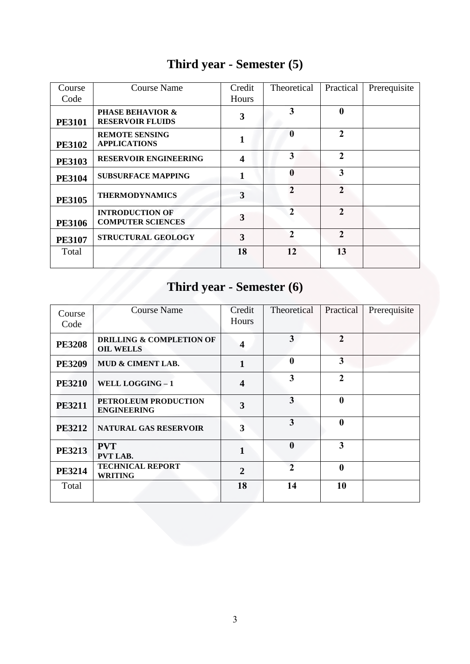| Course        | <b>Course Name</b>                                     | Credit           | Theoretical      | Practical      | Prerequisite |
|---------------|--------------------------------------------------------|------------------|------------------|----------------|--------------|
| Code          |                                                        | Hours            |                  |                |              |
| <b>PE3101</b> | <b>PHASE BEHAVIOR &amp;</b><br><b>RESERVOIR FLUIDS</b> | 3                | 3                | $\mathbf 0$    |              |
| <b>PE3102</b> | <b>REMOTE SENSING</b><br><b>APPLICATIONS</b>           |                  | $\mathbf{0}$     | $\mathbf{2}$   |              |
| <b>PE3103</b> | <b>RESERVOIR ENGINEERING</b>                           | $\boldsymbol{4}$ | 3                | $\mathbf{2}$   |              |
| <b>PE3104</b> | <b>SUBSURFACE MAPPING</b>                              |                  | $\boldsymbol{0}$ | 3              |              |
| <b>PE3105</b> | <b>THERMODYNAMICS</b>                                  | 3                | $\mathfrak{D}$   | $\mathbf{2}$   |              |
| <b>PE3106</b> | <b>INTRODUCTION OF</b><br><b>COMPUTER SCIENCES</b>     | 3                | $\mathcal{L}$    | $\overline{2}$ |              |
| <b>PE3107</b> | STRUCTURAL GEOLOGY                                     | 3                | $\mathfrak{D}$   | $\mathbf{2}$   |              |
| Total         |                                                        | 18               | 12               | 13             |              |

## **Third year - Semester (5)**

# **Third year - Semester (6)**

| Course<br>Code | <b>Course Name</b>                                      | Credit<br>Hours         | Theoretical      | Practical      | Prerequisite |
|----------------|---------------------------------------------------------|-------------------------|------------------|----------------|--------------|
| <b>PE3208</b>  | <b>DRILLING &amp; COMPLETION OF</b><br><b>OIL WELLS</b> | $\overline{\mathbf{4}}$ | 3                | $\overline{2}$ |              |
| <b>PE3209</b>  | <b>MUD &amp; CIMENT LAB.</b>                            | $\mathbf{1}$            | $\boldsymbol{0}$ | 3              |              |
| <b>PE3210</b>  | WELL LOGGING - 1                                        | $\overline{\mathbf{4}}$ | 3                | $\overline{2}$ |              |
| <b>PE3211</b>  | PETROLEUM PRODUCTION<br><b>ENGINEERING</b>              | 3                       | $\overline{3}$   | $\mathbf{0}$   |              |
| <b>PE3212</b>  | <b>NATURAL GAS RESERVOIR</b>                            | 3                       | 3                | $\mathbf{0}$   |              |
| <b>PE3213</b>  | <b>PVT</b><br>PVT LAB.                                  | $\mathbf{1}$            | $\boldsymbol{0}$ | 3              |              |
| <b>PE3214</b>  | <b>TECHNICAL REPORT</b><br><b>WRITING</b>               | $\overline{2}$          | $\overline{2}$   | $\mathbf 0$    |              |
| Total          |                                                         | 18                      | 14               | 10             |              |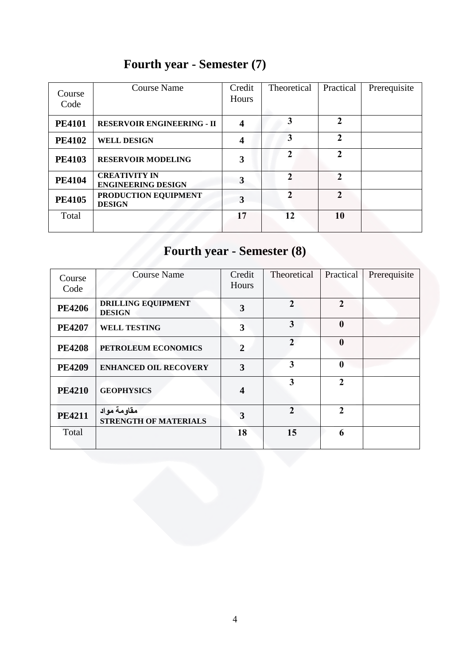| Course<br>Code | Course Name                                       | Credit<br>Hours  | Theoretical    | Practical      | Prerequisite |
|----------------|---------------------------------------------------|------------------|----------------|----------------|--------------|
| <b>PE4101</b>  | <b>RESERVOIR ENGINEERING - II</b>                 | $\boldsymbol{4}$ | 3              | $\mathbf{2}$   |              |
| <b>PE4102</b>  | <b>WELL DESIGN</b>                                | 4                | 3              | $\overline{2}$ |              |
| <b>PE4103</b>  | <b>RESERVOIR MODELING</b>                         | 3                | $\mathfrak{D}$ | $\mathbf{2}$   |              |
| <b>PE4104</b>  | <b>CREATIVITY IN</b><br><b>ENGINEERING DESIGN</b> | 3                | $\mathbf{2}$   | $\mathfrak{D}$ |              |
| <b>PE4105</b>  | PRODUCTION EQUIPMENT<br><b>DESIGN</b>             | 3                | $\mathfrak{D}$ | $\mathfrak{D}$ |              |
| Total          |                                                   | 17               | 12             | 10             |              |

## **Fourth year - Semester (7)**

# **Fourth year - Semester (8)**

| Course<br>Code | <b>Course Name</b>                          | Credit<br>Hours  | Theoretical    | Practical        | Prerequisite |
|----------------|---------------------------------------------|------------------|----------------|------------------|--------------|
| <b>PE4206</b>  | <b>DRILLING EQUIPMENT</b><br><b>DESIGN</b>  | 3                | $\mathbf{2}$   | $\mathbf{2}$     |              |
| <b>PE4207</b>  | <b>WELL TESTING</b>                         | 3                | 3              | $\boldsymbol{0}$ |              |
| <b>PE4208</b>  | PETROLEUM ECONOMICS                         | $\overline{2}$   | $\mathfrak{D}$ | $\boldsymbol{0}$ |              |
| <b>PE4209</b>  | <b>ENHANCED OIL RECOVERY</b>                | 3                | 3              | $\mathbf{0}$     |              |
| <b>PE4210</b>  | <b>GEOPHYSICS</b>                           | $\boldsymbol{4}$ | 3              | $\overline{2}$   |              |
| <b>PE4211</b>  | مقاومة مواد<br><b>STRENGTH OF MATERIALS</b> | 3                | $\overline{2}$ | $\mathcal{L}$    |              |
| Total          |                                             | 18               | 15             | 6                |              |